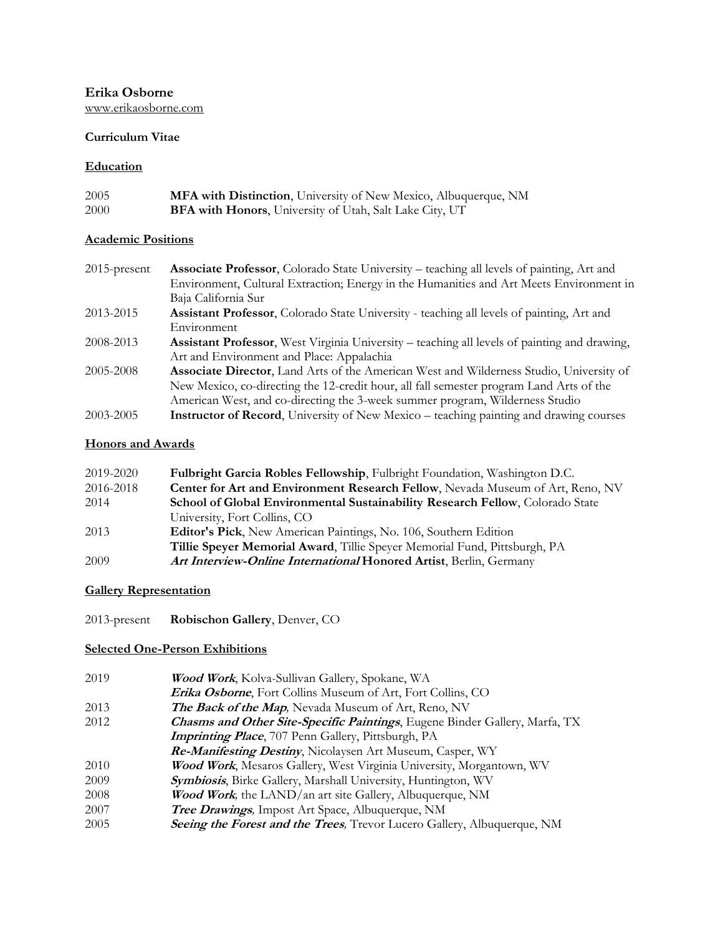**Erika Osborne** [www.erikaosborne.com](http://www.erikaosborne.com/)

#### **Curriculum Vitae**

#### **Education**

| 2005 | <b>MFA with Distinction</b> , University of New Mexico, Albuquerque, NM |
|------|-------------------------------------------------------------------------|
| 2000 | <b>BFA with Honors</b> , University of Utah, Salt Lake City, UT         |

#### **Academic Positions**

| $2015$ -present | <b>Associate Professor,</b> Colorado State University – teaching all levels of painting, Art and     |
|-----------------|------------------------------------------------------------------------------------------------------|
|                 | Environment, Cultural Extraction; Energy in the Humanities and Art Meets Environment in              |
|                 | Baja California Sur                                                                                  |
| 2013-2015       | Assistant Professor, Colorado State University - teaching all levels of painting, Art and            |
|                 | Environment                                                                                          |
| 2008-2013       | <b>Assistant Professor</b> , West Virginia University – teaching all levels of painting and drawing, |
|                 | Art and Environment and Place: Appalachia                                                            |
| 2005-2008       | <b>Associate Director, Land Arts of the American West and Wilderness Studio, University of</b>       |
|                 | New Mexico, co-directing the 12-credit hour, all fall semester program Land Arts of the              |
|                 | American West, and co-directing the 3-week summer program, Wilderness Studio                         |
| 2003-2005       | <b>Instructor of Record</b> , University of New Mexico – teaching painting and drawing courses       |

#### **Honors and Awards**

| 2019-2020 | Fulbright Garcia Robles Fellowship, Fulbright Foundation, Washington D.C.            |
|-----------|--------------------------------------------------------------------------------------|
| 2016-2018 | Center for Art and Environment Research Fellow, Nevada Museum of Art, Reno, NV       |
| 2014      | <b>School of Global Environmental Sustainability Research Fellow, Colorado State</b> |
|           | University, Fort Collins, CO                                                         |
| 2013      | Editor's Pick, New American Paintings, No. 106, Southern Edition                     |
|           | Tillie Speyer Memorial Award, Tillie Speyer Memorial Fund, Pittsburgh, PA            |
| 2009      | Art Interview-Online International Honored Artist, Berlin, Germany                   |

### **Gallery Representation**

2013-present **Robischon Gallery**, Denver, CO

### **Selected One-Person Exhibitions**

| 2019 | Wood Work, Kolva-Sullivan Gallery, Spokane, WA                             |
|------|----------------------------------------------------------------------------|
|      | Erika Osborne, Fort Collins Museum of Art, Fort Collins, CO                |
| 2013 | <b>The Back of the Map, Nevada Museum of Art, Reno, NV</b>                 |
| 2012 | Chasms and Other Site-Specific Paintings, Eugene Binder Gallery, Marfa, TX |
|      | <b>Imprinting Place</b> , 707 Penn Gallery, Pittsburgh, PA                 |
|      | Re-Manifesting Destiny, Nicolaysen Art Museum, Casper, WY                  |
| 2010 | Wood Work, Mesaros Gallery, West Virginia University, Morgantown, WV       |
| 2009 | Symbiosis, Birke Gallery, Marshall University, Huntington, WV              |
| 2008 | <b>Wood Work</b> , the LAND/an art site Gallery, Albuquerque, NM           |
| 2007 | Tree Drawings, Impost Art Space, Albuquerque, NM                           |
| 2005 | Seeing the Forest and the Trees, Trevor Lucero Gallery, Albuquerque, NM    |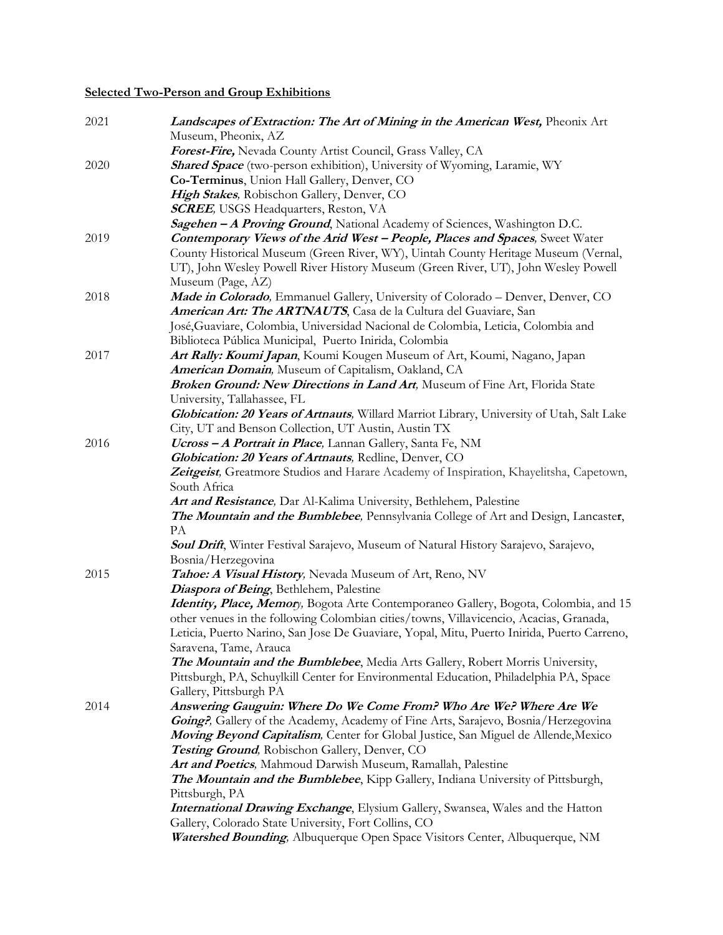# **Selected Two-Person and Group Exhibitions**

| 2021 | Landscapes of Extraction: The Art of Mining in the American West, Pheonix Art                                   |
|------|-----------------------------------------------------------------------------------------------------------------|
|      | Museum, Pheonix, AZ                                                                                             |
|      | Forest-Fire, Nevada County Artist Council, Grass Valley, CA                                                     |
| 2020 | Shared Space (two-person exhibition), University of Wyoming, Laramie, WY                                        |
|      | Co-Terminus, Union Hall Gallery, Denver, CO                                                                     |
|      | High Stakes, Robischon Gallery, Denver, CO                                                                      |
|      | <b>SCREE</b> , USGS Headquarters, Reston, VA                                                                    |
|      | Sagehen - A Proving Ground, National Academy of Sciences, Washington D.C.                                       |
| 2019 | <b>Contemporary Views of the Arid West - People, Places and Spaces</b> , Sweet Water                            |
|      | County Historical Museum (Green River, WY), Uintah County Heritage Museum (Vernal,                              |
|      | UT), John Wesley Powell River History Museum (Green River, UT), John Wesley Powell                              |
|      | Museum (Page, AZ)                                                                                               |
| 2018 | Made in Colorado, Emmanuel Gallery, University of Colorado - Denver, Denver, CO                                 |
|      | American Art: The ARTNAUTS, Casa de la Cultura del Guaviare, San                                                |
|      | José, Guaviare, Colombia, Universidad Nacional de Colombia, Leticia, Colombia and                               |
|      | Biblioteca Pública Municipal, Puerto Inirida, Colombia                                                          |
| 2017 | Art Rally: Koumi Japan, Koumi Kougen Museum of Art, Koumi, Nagano, Japan                                        |
|      | American Domain, Museum of Capitalism, Oakland, CA                                                              |
|      | Broken Ground: New Directions in Land Art, Museum of Fine Art, Florida State                                    |
|      | University, Tallahassee, FL                                                                                     |
|      | Globication: 20 Years of Artnauts, Willard Marriot Library, University of Utah, Salt Lake                       |
|      | City, UT and Benson Collection, UT Austin, Austin TX                                                            |
| 2016 | Ucross - A Portrait in Place, Lannan Gallery, Santa Fe, NM                                                      |
|      | Globication: 20 Years of Artnauts, Redline, Denver, CO                                                          |
|      | Zeitgeist, Greatmore Studios and Harare Academy of Inspiration, Khayelitsha, Capetown,                          |
|      | South Africa                                                                                                    |
|      | Art and Resistance, Dar Al-Kalima University, Bethlehem, Palestine                                              |
|      | The Mountain and the Bumblebee, Pennsylvania College of Art and Design, Lancaster,                              |
|      | PA                                                                                                              |
|      | Soul Drift, Winter Festival Sarajevo, Museum of Natural History Sarajevo, Sarajevo,                             |
|      | Bosnia/Herzegovina                                                                                              |
| 2015 | Tahoe: A Visual History, Nevada Museum of Art, Reno, NV                                                         |
|      | Diaspora of Being, Bethlehem, Palestine                                                                         |
|      | <i>Identity, Place, Memory</i> , Bogota Arte Contemporaneo Gallery, Bogota, Colombia, and 15                    |
|      | other venues in the following Colombian cities/towns, Villavicencio, Acacias, Granada,                          |
|      | Leticia, Puerto Narino, San Jose De Guaviare, Yopal, Mitu, Puerto Inirida, Puerto Carreno,                      |
|      | Saravena, Tame, Arauca                                                                                          |
|      | The Mountain and the Bumblebee, Media Arts Gallery, Robert Morris University,                                   |
|      | Pittsburgh, PA, Schuylkill Center for Environmental Education, Philadelphia PA, Space<br>Gallery, Pittsburgh PA |
| 2014 | Answering Gauguin: Where Do We Come From? Who Are We? Where Are We                                              |
|      | Going?, Gallery of the Academy, Academy of Fine Arts, Sarajevo, Bosnia/Herzegovina                              |
|      | Moving Beyond Capitalism, Center for Global Justice, San Miguel de Allende, Mexico                              |
|      | Testing Ground, Robischon Gallery, Denver, CO                                                                   |
|      | Art and Poetics, Mahmoud Darwish Museum, Ramallah, Palestine                                                    |
|      | The Mountain and the Bumblebee, Kipp Gallery, Indiana University of Pittsburgh,                                 |
|      | Pittsburgh, PA                                                                                                  |
|      | <b>International Drawing Exchange</b> , Elysium Gallery, Swansea, Wales and the Hatton                          |
|      | Gallery, Colorado State University, Fort Collins, CO                                                            |
|      | Watershed Bounding, Albuquerque Open Space Visitors Center, Albuquerque, NM                                     |
|      |                                                                                                                 |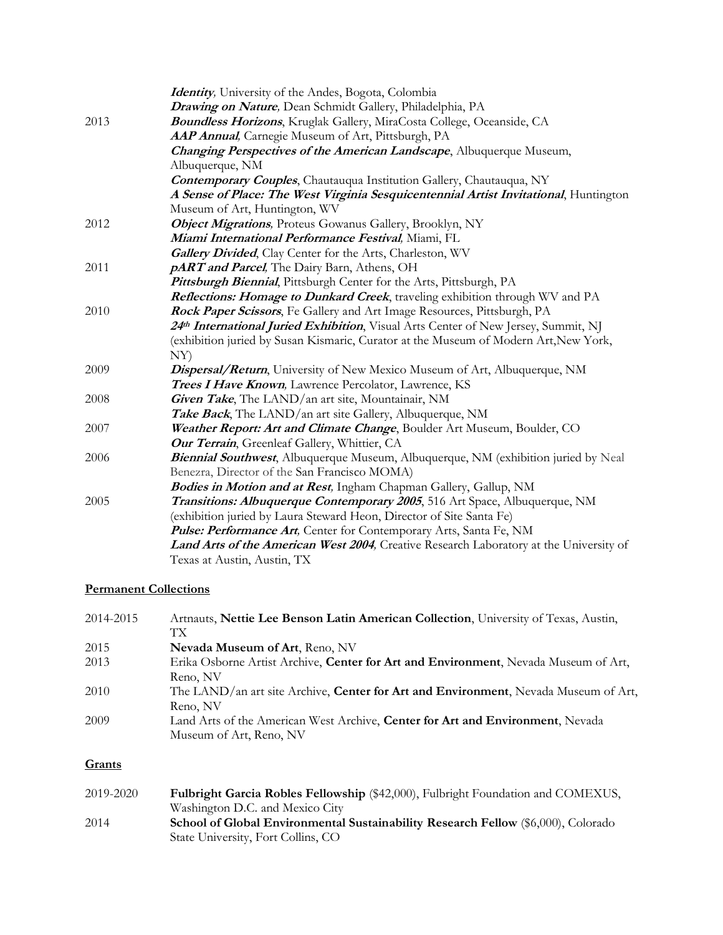|      | Identity, University of the Andes, Bogota, Colombia                                    |
|------|----------------------------------------------------------------------------------------|
|      | Drawing on Nature, Dean Schmidt Gallery, Philadelphia, PA                              |
| 2013 | <b>Boundless Horizons</b> , Kruglak Gallery, MiraCosta College, Oceanside, CA          |
|      | AAP Annual, Carnegie Museum of Art, Pittsburgh, PA                                     |
|      | Changing Perspectives of the American Landscape, Albuquerque Museum,                   |
|      | Albuquerque, NM                                                                        |
|      | <b>Contemporary Couples, Chautauqua Institution Gallery, Chautauqua, NY</b>            |
|      | A Sense of Place: The West Virginia Sesquicentennial Artist Invitational, Huntington   |
|      | Museum of Art, Huntington, WV                                                          |
| 2012 | Object Migrations, Proteus Gowanus Gallery, Brooklyn, NY                               |
|      | Miami International Performance Festival, Miami, FL                                    |
|      | <b>Gallery Divided, Clay Center for the Arts, Charleston, WV</b>                       |
| 2011 | pART and Parcel, The Dairy Barn, Athens, OH                                            |
|      | Pittsburgh Biennial, Pittsburgh Center for the Arts, Pittsburgh, PA                    |
|      | Reflections: Homage to Dunkard Creek, traveling exhibition through WV and PA           |
| 2010 | Rock Paper Scissors, Fe Gallery and Art Image Resources, Pittsburgh, PA                |
|      | 24th International Juried Exhibition, Visual Arts Center of New Jersey, Summit, NJ     |
|      | (exhibition juried by Susan Kismaric, Curator at the Museum of Modern Art, New York,   |
|      | NY)                                                                                    |
| 2009 | Dispersal/Return, University of New Mexico Museum of Art, Albuquerque, NM              |
|      | Trees I Have Known, Lawrence Percolator, Lawrence, KS                                  |
| 2008 | Given Take, The LAND/an art site, Mountainair, NM                                      |
|      | Take Back, The LAND/an art site Gallery, Albuquerque, NM                               |
| 2007 | Weather Report: Art and Climate Change, Boulder Art Museum, Boulder, CO                |
|      | Our Terrain, Greenleaf Gallery, Whittier, CA                                           |
| 2006 | Biennial Southwest, Albuquerque Museum, Albuquerque, NM (exhibition juried by Neal     |
|      | Benezra, Director of the San Francisco MOMA)                                           |
|      | Bodies in Motion and at Rest, Ingham Chapman Gallery, Gallup, NM                       |
| 2005 | Transitions: Albuquerque Contemporary 2005, 516 Art Space, Albuquerque, NM             |
|      | (exhibition juried by Laura Steward Heon, Director of Site Santa Fe)                   |
|      | Pulse: Performance Art, Center for Contemporary Arts, Santa Fe, NM                     |
|      | Land Arts of the American West 2004, Creative Research Laboratory at the University of |
|      | Texas at Austin, Austin, TX                                                            |

# **Permanent Collections**

| 2014-2015 | Artnauts, Nettie Lee Benson Latin American Collection, University of Texas, Austin, |
|-----------|-------------------------------------------------------------------------------------|
|           | TХ                                                                                  |
| 2015      | Nevada Museum of Art, Reno, NV                                                      |
| 2013      | Erika Osborne Artist Archive, Center for Art and Environment, Nevada Museum of Art, |
|           | Reno, NV                                                                            |
| 2010      | The LAND/an art site Archive, Center for Art and Environment, Nevada Museum of Art, |
|           | Reno, NV                                                                            |
| 2009      | Land Arts of the American West Archive, Center for Art and Environment, Nevada      |
|           | Museum of Art, Reno, NV                                                             |

# **Grants**

| 2019-2020 | Fulbright Garcia Robles Fellowship (\$42,000), Fulbright Foundation and COMEXUS,         |
|-----------|------------------------------------------------------------------------------------------|
|           | Washington D.C. and Mexico City                                                          |
| 2014      | <b>School of Global Environmental Sustainability Research Fellow</b> (\$6,000), Colorado |
|           | State University, Fort Collins, CO                                                       |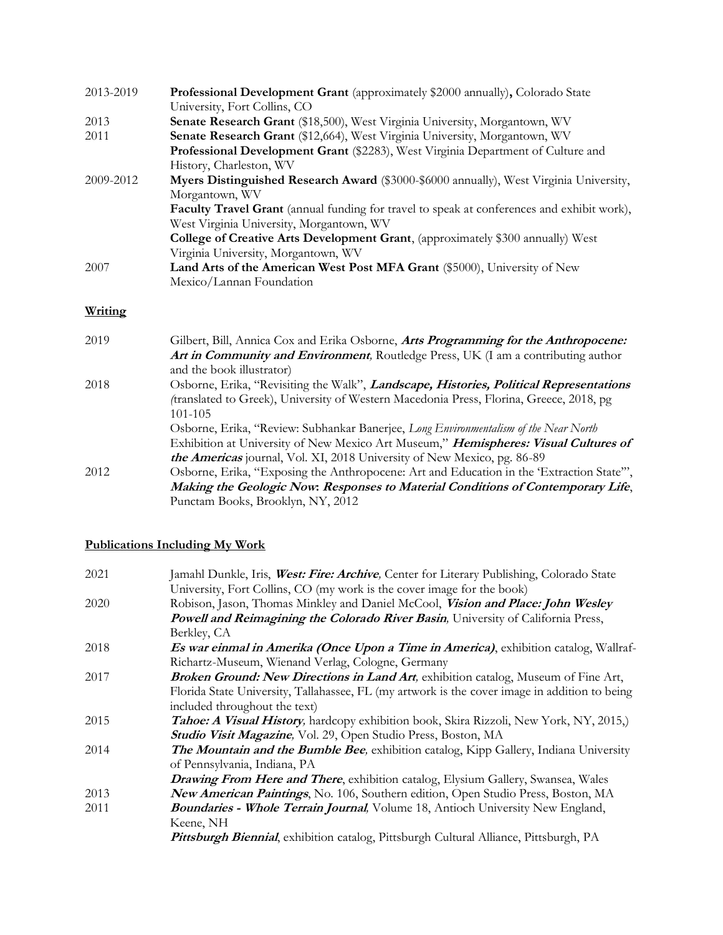| 2013-2019 | Professional Development Grant (approximately \$2000 annually), Colorado State                    |
|-----------|---------------------------------------------------------------------------------------------------|
|           | University, Fort Collins, CO                                                                      |
| 2013      | Senate Research Grant (\$18,500), West Virginia University, Morgantown, WV                        |
| 2011      | Senate Research Grant (\$12,664), West Virginia University, Morgantown, WV                        |
|           | Professional Development Grant (\$2283), West Virginia Department of Culture and                  |
|           | History, Charleston, WV                                                                           |
| 2009-2012 | Myers Distinguished Research Award (\$3000-\$6000 annually), West Virginia University,            |
|           | Morgantown, WV                                                                                    |
|           | <b>Faculty Travel Grant</b> (annual funding for travel to speak at conferences and exhibit work), |
|           | West Virginia University, Morgantown, WV                                                          |
|           | College of Creative Arts Development Grant, (approximately \$300 annually) West                   |
|           | Virginia University, Morgantown, WV                                                               |
| 2007      | Land Arts of the American West Post MFA Grant (\$5000), University of New                         |
|           | Mexico/Lannan Foundation                                                                          |

# **Writing**

| 2019 | Gilbert, Bill, Annica Cox and Erika Osborne, Arts Programming for the Anthropocene:       |
|------|-------------------------------------------------------------------------------------------|
|      | Art in Community and Environment, Routledge Press, UK (I am a contributing author         |
|      | and the book illustrator)                                                                 |
| 2018 | Osborne, Erika, "Revisiting the Walk", Landscape, Histories, Political Representations    |
|      | (translated to Greek), University of Western Macedonia Press, Florina, Greece, 2018, pg   |
|      | 101-105                                                                                   |
|      | Osborne, Erika, "Review: Subhankar Banerjee, Long Environmentalism of the Near North      |
|      | Exhibition at University of New Mexico Art Museum," Hemispheres: Visual Cultures of       |
|      | <i>the Americas</i> journal, Vol. XI, 2018 University of New Mexico, pg. 86-89            |
| 2012 | Osborne, Erika, "Exposing the Anthropocene: Art and Education in the 'Extraction State'", |
|      | Making the Geologic Now: Responses to Material Conditions of Contemporary Life,           |
|      | Punctam Books, Brooklyn, NY, 2012                                                         |
|      |                                                                                           |

### **Publications Including My Work**

| 2021 | Jamahl Dunkle, Iris, West: Fire: Archive, Center for Literary Publishing, Colorado State       |
|------|------------------------------------------------------------------------------------------------|
|      | University, Fort Collins, CO (my work is the cover image for the book)                         |
| 2020 | Robison, Jason, Thomas Minkley and Daniel McCool, Vision and Place: John Wesley                |
|      | <b>Powell and Reimagining the Colorado River Basin, University of California Press,</b>        |
|      | Berkley, CA                                                                                    |
| 2018 | <i>Es war einmal in Amerika (Once Upon a Time in America)</i> , exhibition catalog, Wallraf-   |
|      | Richartz-Museum, Wienand Verlag, Cologne, Germany                                              |
| 2017 | Broken Ground: New Directions in Land Art, exhibition catalog, Museum of Fine Art,             |
|      | Florida State University, Tallahassee, FL (my artwork is the cover image in addition to being  |
|      | included throughout the text)                                                                  |
| 2015 | <b>Tahoe: A Visual History</b> , hardcopy exhibition book, Skira Rizzoli, New York, NY, 2015,) |
|      | Studio Visit Magazine, Vol. 29, Open Studio Press, Boston, MA                                  |
| 2014 | <b>The Mountain and the Bumble Bee,</b> exhibition catalog, Kipp Gallery, Indiana University   |
|      | of Pennsylvania, Indiana, PA                                                                   |
|      | Drawing From Here and There, exhibition catalog, Elysium Gallery, Swansea, Wales               |
| 2013 | New American Paintings, No. 106, Southern edition, Open Studio Press, Boston, MA               |
| 2011 | <b>Boundaries - Whole Terrain Journal</b> , Volume 18, Antioch University New England,         |
|      | Keene, NH                                                                                      |
|      | Pittsburgh Biennial, exhibition catalog, Pittsburgh Cultural Alliance, Pittsburgh, PA          |
|      |                                                                                                |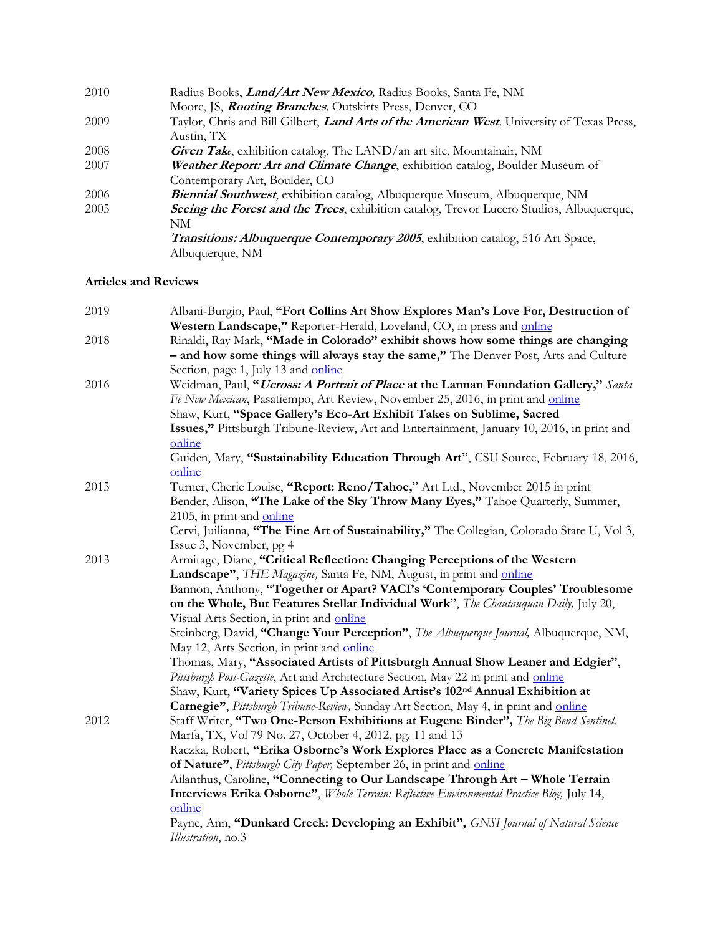| 2010 | Radius Books, <i>Land/Art New Mexico</i> , Radius Books, Santa Fe, NM                              |
|------|----------------------------------------------------------------------------------------------------|
|      | Moore, JS, <i>Rooting Branches</i> , Outskirts Press, Denver, CO                                   |
| 2009 | Taylor, Chris and Bill Gilbert, <i>Land Arts of the American West</i> , University of Texas Press, |
|      | Austin, TX                                                                                         |
| 2008 | Given Take, exhibition catalog, The LAND/an art site, Mountainair, NM                              |
| 2007 | Weather Report: Art and Climate Change, exhibition catalog, Boulder Museum of                      |
|      | Contemporary Art, Boulder, CO                                                                      |
| 2006 | Biennial Southwest, exhibition catalog, Albuquerque Museum, Albuquerque, NM                        |
| 2005 | <b>Seeing the Forest and the Trees,</b> exhibition catalog, Trevor Lucero Studios, Albuquerque,    |
|      | NM                                                                                                 |
|      | Transitions: Albuquerque Contemporary 2005, exhibition catalog, 516 Art Space,                     |
|      | Albuquerque, NM                                                                                    |
|      |                                                                                                    |

### **Articles and Reviews**

| 2019 | Albani-Burgio, Paul, "Fort Collins Art Show Explores Man's Love For, Destruction of           |
|------|-----------------------------------------------------------------------------------------------|
|      | Western Landscape," Reporter-Herald, Loveland, CO, in press and online                        |
| 2018 | Rinaldi, Ray Mark, "Made in Colorado" exhibit shows how some things are changing              |
|      | - and how some things will always stay the same," The Denver Post, Arts and Culture           |
|      | Section, page 1, July 13 and online                                                           |
| 2016 | Weidman, Paul, "Ucross: A Portrait of Place at the Lannan Foundation Gallery," Santa          |
|      | Fe New Mexican, Pasatiempo, Art Review, November 25, 2016, in print and online                |
|      | Shaw, Kurt, "Space Gallery's Eco-Art Exhibit Takes on Sublime, Sacred                         |
|      | Issues," Pittsburgh Tribune-Review, Art and Entertainment, January 10, 2016, in print and     |
|      | online                                                                                        |
|      | Guiden, Mary, "Sustainability Education Through Art", CSU Source, February 18, 2016,          |
|      | online                                                                                        |
| 2015 | Turner, Cherie Louise, "Report: Reno/Tahoe," Art Ltd., November 2015 in print                 |
|      | Bender, Alison, "The Lake of the Sky Throw Many Eyes," Tahoe Quarterly, Summer,               |
|      | 2105, in print and online                                                                     |
|      | Cervi, Juilianna, "The Fine Art of Sustainability," The Collegian, Colorado State U, Vol 3,   |
|      | Issue 3, November, pg 4                                                                       |
| 2013 | Armitage, Diane, "Critical Reflection: Changing Perceptions of the Western                    |
|      | Landscape", THE Magazine, Santa Fe, NM, August, in print and online                           |
|      | Bannon, Anthony, "Together or Apart? VACI's 'Contemporary Couples' Troublesome                |
|      | on the Whole, But Features Stellar Individual Work", The Chautauquan Daily, July 20,          |
|      | Visual Arts Section, in print and online                                                      |
|      | Steinberg, David, "Change Your Perception", The Albuquerque Journal, Albuquerque, NM,         |
|      | May 12, Arts Section, in print and online                                                     |
|      | Thomas, Mary, "Associated Artists of Pittsburgh Annual Show Leaner and Edgier",               |
|      | Pittsburgh Post-Gazette, Art and Architecture Section, May 22 in print and online             |
|      | Shaw, Kurt, "Variety Spices Up Associated Artist's 102 <sup>nd</sup> Annual Exhibition at     |
|      | Carnegie", Pittsburgh Tribune-Review, Sunday Art Section, May 4, in print and online          |
| 2012 | Staff Writer, "Two One-Person Exhibitions at Eugene Binder", The Big Bend Sentinel,           |
|      | Marfa, TX, Vol 79 No. 27, October 4, 2012, pg. 11 and 13                                      |
|      | Raczka, Robert, "Erika Osborne's Work Explores Place as a Concrete Manifestation              |
|      | of Nature", Pittsburgh City Paper, September 26, in print and online                          |
|      | Ailanthus, Caroline, "Connecting to Our Landscape Through Art - Whole Terrain                 |
|      | Interviews Erika Osborne", Whole Terrain: Reflective Environmental Practice Blog, July 14,    |
|      | online<br>Payne, Ann, "Dunkard Creek: Developing an Exhibit", GNSI Journal of Natural Science |
|      | Illustration, no.3                                                                            |
|      |                                                                                               |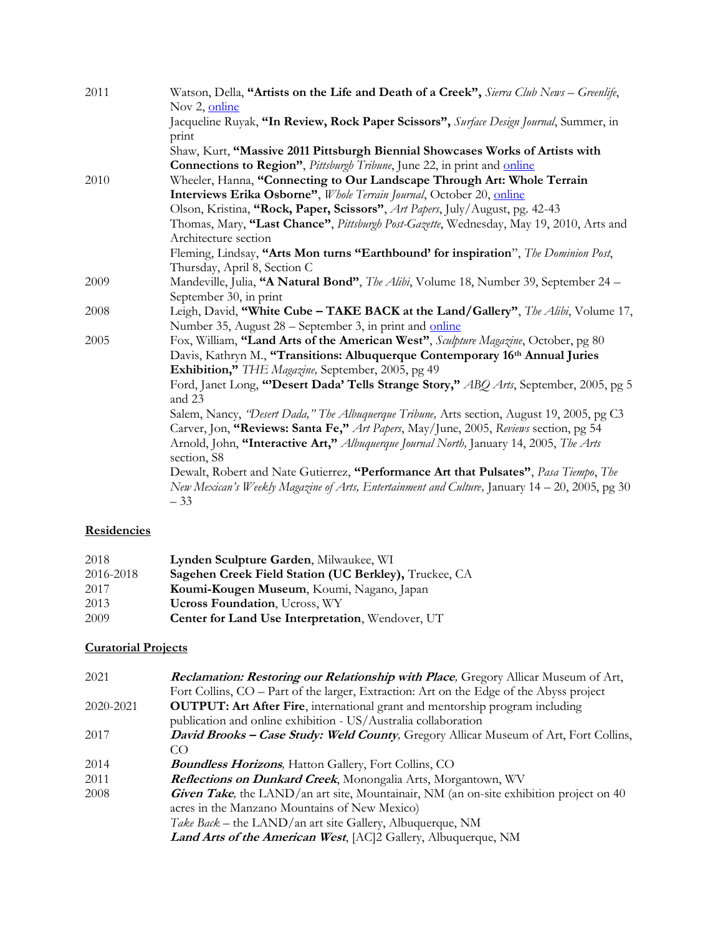| 2011 | Watson, Della, "Artists on the Life and Death of a Creek", Sierra Club News - Greenlife,<br>Nov 2, online |
|------|-----------------------------------------------------------------------------------------------------------|
|      | Jacqueline Ruyak, "In Review, Rock Paper Scissors", Surface Design Journal, Summer, in                    |
|      | print                                                                                                     |
|      | Shaw, Kurt, "Massive 2011 Pittsburgh Biennial Showcases Works of Artists with                             |
|      | <b>Connections to Region"</b> , Pittsburgh Tribune, June 22, in print and <i>online</i>                   |
| 2010 | Wheeler, Hanna, "Connecting to Our Landscape Through Art: Whole Terrain                                   |
|      | Interviews Erika Osborne", Whole Terrain Journal, October 20, online                                      |
|      | Olson, Kristina, "Rock, Paper, Scissors", Art Papers, July/August, pg. 42-43                              |
|      | Thomas, Mary, "Last Chance", Pittsburgh Post-Gazette, Wednesday, May 19, 2010, Arts and                   |
|      | Architecture section                                                                                      |
|      | Fleming, Lindsay, "Arts Mon turns "Earthbound' for inspiration", The Dominion Post,                       |
|      | Thursday, April 8, Section C                                                                              |
| 2009 | Mandeville, Julia, "A Natural Bond", The Alibi, Volume 18, Number 39, September 24 -                      |
|      | September 30, in print                                                                                    |
| 2008 | Leigh, David, "White Cube - TAKE BACK at the Land/Gallery", The Alibi, Volume 17,                         |
|      | Number 35, August 28 – September 3, in print and online                                                   |
| 2005 | Fox, William, "Land Arts of the American West", Sculpture Magazine, October, pg 80                        |
|      | Davis, Kathryn M., "Transitions: Albuquerque Contemporary 16 <sup>th</sup> Annual Juries                  |
|      | Exhibition," THE Magazine, September, 2005, pg 49                                                         |
|      | Ford, Janet Long, "Desert Dada' Tells Strange Story," ABQ Arts, September, 2005, pg 5                     |
|      | and 23                                                                                                    |
|      | Salem, Nancy, "Desert Dada," The Albuquerque Tribune, Arts section, August 19, 2005, pg C3                |
|      | Carver, Jon, "Reviews: Santa Fe," Art Papers, May/June, 2005, Reviews section, pg 54                      |
|      | Arnold, John, "Interactive Art," Albuquerque Journal North, January 14, 2005, The Arts<br>section, S8     |
|      | Dewalt, Robert and Nate Gutierrez, "Performance Art that Pulsates", Pasa Tiempo, The                      |
|      | New Mexican's Weekly Magazine of Arts, Entertainment and Culture, January 14 – 20, 2005, pg 30<br>$-33$   |
|      |                                                                                                           |

# **Residencies**

| 2018      | Lynden Sculpture Garden, Milwaukee, WI                |
|-----------|-------------------------------------------------------|
| 2016-2018 | Sagehen Creek Field Station (UC Berkley), Truckee, CA |
| 2017      | Koumi-Kougen Museum, Koumi, Nagano, Japan             |
| 2013      | <b>Ucross Foundation</b> , Ucross, WY                 |
| 2009      | Center for Land Use Interpretation, Wendover, UT      |

# **Curatorial Projects**

| 2021      | <b>Reclamation: Restoring our Relationship with Place, Gregory Allicar Museum of Art,</b>      |
|-----------|------------------------------------------------------------------------------------------------|
|           | Fort Collins, CO – Part of the larger, Extraction: Art on the Edge of the Abyss project        |
| 2020-2021 | <b>OUTPUT: Art After Fire, international grant and mentorship program including</b>            |
|           | publication and online exhibition - US/Australia collaboration                                 |
| 2017      | David Brooks - Case Study: Weld County, Gregory Allicar Museum of Art, Fort Collins,           |
|           | CO                                                                                             |
| 2014      | <b>Boundless Horizons</b> , Hatton Gallery, Fort Collins, CO                                   |
| 2011      | Reflections on Dunkard Creek, Monongalia Arts, Morgantown, WV                                  |
| 2008      | <b>Given Take</b> , the LAND/an art site, Mountainair, NM (an on-site exhibition project on 40 |
|           | acres in the Manzano Mountains of New Mexico)                                                  |
|           | Take Back – the LAND/an art site Gallery, Albuquerque, NM                                      |
|           | <b>Land Arts of the American West, [AC]2 Gallery, Albuquerque, NM</b>                          |